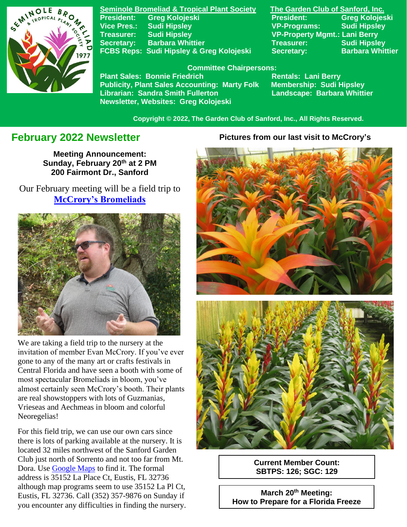

**Seminole Bromeliad & Tropical Plant Society The Garden Club of Sanford, Inc. Vice Pres.: Sudi Hipsley VP-Programs: Sudi Hipsley Treasurer: Sudi Hipsley VP-Property Mgmt.: Lani Berry Secretary:** Barbara Whittier **Treasurer:** Sudi Hipsley **FCBS Reps: Sudi Hipsley & Greg Kolojeski Secretary: Barbara Whittier** 

**President: Greg Kolojeski President: Greg Kolojeski** 

 **Committee Chairpersons:**

Plant Sales: Bonnie Friedrich **Nentals: Lani Berry<br>Publicity, Plant Sales Accounting: Marty Folk Membership: Sudi Hipsley Publicity, Plant Sales Accounting: Marty Folk Librarian: Sandra Smith Fullerton Landscape: Barbara Whittier Newsletter, Websites: Greg Kolojeski**

 **Copyright © 2022, The Garden Club of Sanford, Inc., All Rights Reserved.**

# **February 2022 Newsletter**

**Meeting Announcement: Sunday, February 20th at 2 PM 200 Fairmont Dr., Sanford**

 Our February meeting will be a field trip to **[McCrory's Bromeliads](https://www.mccrorysnursery.com/)**



 We are taking a field trip to the nursery at the invitation of member Evan McCrory. If you've ever gone to any of the many art or crafts festivals in Central Florida and have seen a booth with some of most spectacular Bromeliads in bloom, you've almost certainly seen McCrory's booth. Their plants are real showstoppers with lots of Guzmanias, Vrieseas and Aechmeas in bloom and colorful Neoregelias!

For this field trip, we can use our own cars since there is lots of parking available at the nursery. It is located 32 miles northwest of the Sanford Garden Club just north of Sorrento and not too far from Mt. Dora. Use [Google Maps](https://www.google.com/maps/place/35152+La+Pl+Ct,+Eustis,+FL+32736/@28.860353,-81.5677317,992m/data=!3m1!1e3!4m5!3m4!1s0x88e7a1242cb42937:0x249886e75aa3694f!8m2!3d28.860353!4d-81.565543!6m1!1e1) to find it. The formal address is 35152 La Place Ct, Eustis, FL 32736 although map programs seem to use 35152 La Pl Ct, Eustis, FL 32736. Call (352) 357-9876 on Sunday if you encounter any difficulties in finding the nursery.

#### **Pictures from our last visit to McCrory's**



**Current Member Count: SBTPS: 126; SGC: 129**

**March 20th Meeting: How to Prepare for a Florida Freeze**